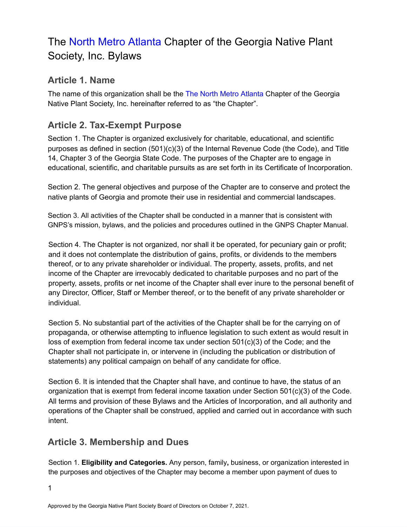# The North Metro Atlanta Chapter of the Georgia Native Plant Society, Inc. Bylaws

#### **Article 1. Name**

The name of this organization shall be the The North Metro Atlanta Chapter of the Georgia Native Plant Society, Inc. hereinafter referred to as "the Chapter".

#### **Article 2. Tax-Exempt Purpose**

Section 1. The Chapter is organized exclusively for charitable, educational, and scientific purposes as defined in section  $(501)(c)(3)$  of the Internal Revenue Code (the Code), and Title 14, Chapter 3 of the Georgia State Code. The purposes of the Chapter are to engage in educational, scientific, and charitable pursuits as are set forth in its Certificate of Incorporation.

Section 2. The general objectives and purpose of the Chapter are to conserve and protect the native plants of Georgia and promote their use in residential and commercial landscapes.

Section 3. All activities of the Chapter shall be conducted in a manner that is consistent with GNPS's mission, bylaws, and the policies and procedures outlined in the GNPS Chapter Manual.

Section 4. The Chapter is not organized, nor shall it be operated, for pecuniary gain or profit; and it does not contemplate the distribution of gains, profits, or dividends to the members thereof, or to any private shareholder or individual. The property, assets, profits, and net income of the Chapter are irrevocably dedicated to charitable purposes and no part of the property, assets, profits or net income of the Chapter shall ever inure to the personal benefit of any Director, Officer, Staff or Member thereof, or to the benefit of any private shareholder or individual.

Section 5. No substantial part of the activities of the Chapter shall be for the carrying on of propaganda, or otherwise attempting to influence legislation to such extent as would result in loss of exemption from federal income tax under section 501(c)(3) of the Code; and the Chapter shall not participate in, or intervene in (including the publication or distribution of statements) any political campaign on behalf of any candidate for office.

Section 6. It is intended that the Chapter shall have, and continue to have, the status of an organization that is exempt from federal income taxation under Section 501(c)(3) of the Code. All terms and provision of these Bylaws and the Articles of Incorporation, and all authority and operations of the Chapter shall be construed, applied and carried out in accordance with such intent.

# **Article 3. Membership and Dues**

Section 1. **Eligibility and Categories.** Any person, family**,** business, or organization interested in the purposes and objectives of the Chapter may become a member upon payment of dues to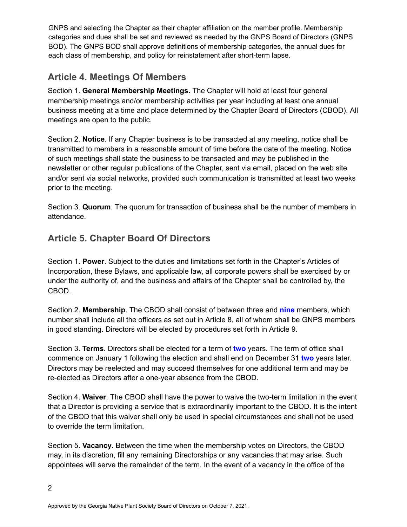GNPS and selecting the Chapter as their chapter affiliation on the member profile. Membership categories and dues shall be set and reviewed as needed by the GNPS Board of Directors (GNPS BOD). The GNPS BOD shall approve definitions of membership categories, the annual dues for each class of membership, and policy for reinstatement after short-term lapse.

# **Article 4. Meetings Of Members**

Section 1. **General Membership Meetings.** The Chapter will hold at least four general membership meetings and/or membership activities per year including at least one annual business meeting at a time and place determined by the Chapter Board of Directors (CBOD). All meetings are open to the public.

Section 2. **Notice**. If any Chapter business is to be transacted at any meeting, notice shall be transmitted to members in a reasonable amount of time before the date of the meeting. Notice of such meetings shall state the business to be transacted and may be published in the newsletter or other regular publications of the Chapter, sent via email, placed on the web site and/or sent via social networks, provided such communication is transmitted at least two weeks prior to the meeting.

Section 3. **Quorum**. The quorum for transaction of business shall be the number of members in attendance.

# **Article 5. Chapter Board Of Directors**

Section 1. **Power**. Subject to the duties and limitations set forth in the Chapter's Articles of Incorporation, these Bylaws, and applicable law, all corporate powers shall be exercised by or under the authority of, and the business and affairs of the Chapter shall be controlled by, the CBOD.

Section 2. **Membership**. The CBOD shall consist of between three and **nine** members, which number shall include all the officers as set out in Article 8, all of whom shall be GNPS members in good standing. Directors will be elected by procedures set forth in Article 9.

Section 3. **Terms**. Directors shall be elected for a term of **two** years. The term of office shall commence on January 1 following the election and shall end on December 31 **two** years later. Directors may be reelected and may succeed themselves for one additional term and may be re-elected as Directors after a one-year absence from the CBOD.

Section 4. **Waiver**. The CBOD shall have the power to waive the two-term limitation in the event that a Director is providing a service that is extraordinarily important to the CBOD. It is the intent of the CBOD that this waiver shall only be used in special circumstances and shall not be used to override the term limitation.

Section 5. **Vacancy**. Between the time when the membership votes on Directors, the CBOD may, in its discretion, fill any remaining Directorships or any vacancies that may arise. Such appointees will serve the remainder of the term. In the event of a vacancy in the office of the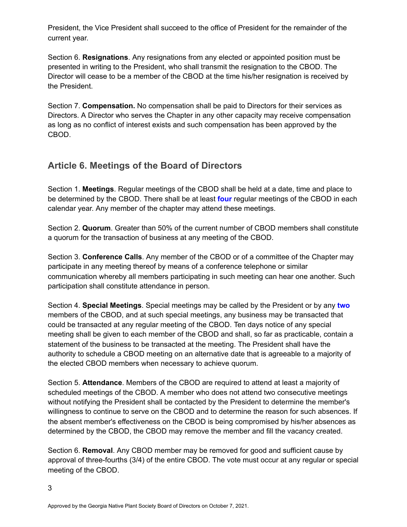President, the Vice President shall succeed to the office of President for the remainder of the current year.

Section 6. **Resignations**. Any resignations from any elected or appointed position must be presented in writing to the President, who shall transmit the resignation to the CBOD. The Director will cease to be a member of the CBOD at the time his/her resignation is received by the President.

Section 7. **Compensation.** No compensation shall be paid to Directors for their services as Directors. A Director who serves the Chapter in any other capacity may receive compensation as long as no conflict of interest exists and such compensation has been approved by the CBOD.

# **Article 6. Meetings of the Board of Directors**

Section 1. **Meetings**. Regular meetings of the CBOD shall be held at a date, time and place to be determined by the CBOD. There shall be at least **four** regular meetings of the CBOD in each calendar year. Any member of the chapter may attend these meetings.

Section 2. **Quorum**. Greater than 50% of the current number of CBOD members shall constitute a quorum for the transaction of business at any meeting of the CBOD.

Section 3. **Conference Calls**. Any member of the CBOD or of a committee of the Chapter may participate in any meeting thereof by means of a conference telephone or similar communication whereby all members participating in such meeting can hear one another. Such participation shall constitute attendance in person.

Section 4. **Special Meetings**. Special meetings may be called by the President or by any **two** members of the CBOD, and at such special meetings, any business may be transacted that could be transacted at any regular meeting of the CBOD. Ten days notice of any special meeting shall be given to each member of the CBOD and shall, so far as practicable, contain a statement of the business to be transacted at the meeting. The President shall have the authority to schedule a CBOD meeting on an alternative date that is agreeable to a majority of the elected CBOD members when necessary to achieve quorum.

Section 5. **Attendance**. Members of the CBOD are required to attend at least a majority of scheduled meetings of the CBOD. A member who does not attend two consecutive meetings without notifying the President shall be contacted by the President to determine the member's willingness to continue to serve on the CBOD and to determine the reason for such absences. If the absent member's effectiveness on the CBOD is being compromised by his/her absences as determined by the CBOD, the CBOD may remove the member and fill the vacancy created.

Section 6. **Removal**. Any CBOD member may be removed for good and sufficient cause by approval of three-fourths (3/4) of the entire CBOD. The vote must occur at any regular or special meeting of the CBOD.

3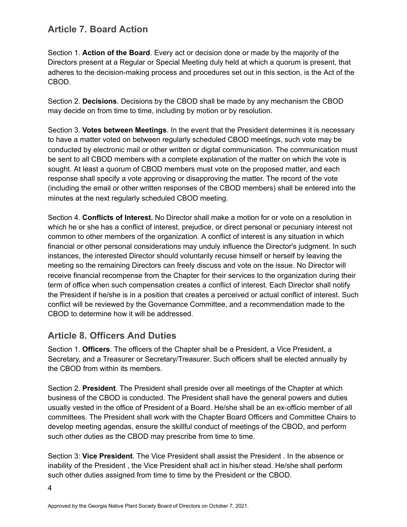#### **Article 7. Board Action**

Section 1. **Action of the Board**. Every act or decision done or made by the majority of the Directors present at a Regular or Special Meeting duly held at which a quorum is present, that adheres to the decision-making process and procedures set out in this section, is the Act of the CBOD.

Section 2. **Decisions**. Decisions by the CBOD shall be made by any mechanism the CBOD may decide on from time to time, including by motion or by resolution.

Section 3. **Votes between Meetings**. In the event that the President determines it is necessary to have a matter voted on between regularly scheduled CBOD meetings, such vote may be conducted by electronic mail or other written or digital communication. The communication must be sent to all CBOD members with a complete explanation of the matter on which the vote is sought. At least a quorum of CBOD members must vote on the proposed matter, and each response shall specify a vote approving or disapproving the matter. The record of the vote (including the email or other written responses of the CBOD members) shall be entered into the minutes at the next regularly scheduled CBOD meeting.

Section 4. **Conflicts of Interest.** No Director shall make a motion for or vote on a resolution in which he or she has a conflict of interest, prejudice, or direct personal or pecuniary interest not common to other members of the organization. A conflict of interest is any situation in which financial or other personal considerations may unduly influence the Director's judgment. In such instances, the interested Director should voluntarily recuse himself or herself by leaving the meeting so the remaining Directors can freely discuss and vote on the issue. No Director will receive financial recompense from the Chapter for their services to the organization during their term of office when such compensation creates a conflict of interest. Each Director shall notify the President if he/she is in a position that creates a perceived or actual conflict of interest. Such conflict will be reviewed by the Governance Committee, and a recommendation made to the CBOD to determine how it will be addressed.

#### **Article 8. Officers And Duties**

Section 1. **Officers**. The officers of the Chapter shall be a President, a Vice President, a Secretary, and a Treasurer or Secretary/Treasurer. Such officers shall be elected annually by the CBOD from within its members.

Section 2. **President**. The President shall preside over all meetings of the Chapter at which business of the CBOD is conducted. The President shall have the general powers and duties usually vested in the office of President of a Board. He/she shall be an ex-officio member of all committees. The President shall work with the Chapter Board Officers and Committee Chairs to develop meeting agendas, ensure the skillful conduct of meetings of the CBOD, and perform such other duties as the CBOD may prescribe from time to time.

Section 3: **Vice President**. The Vice President shall assist the President . In the absence or inability of the President , the Vice President shall act in his/her stead. He/she shall perform such other duties assigned from time to time by the President or the CBOD.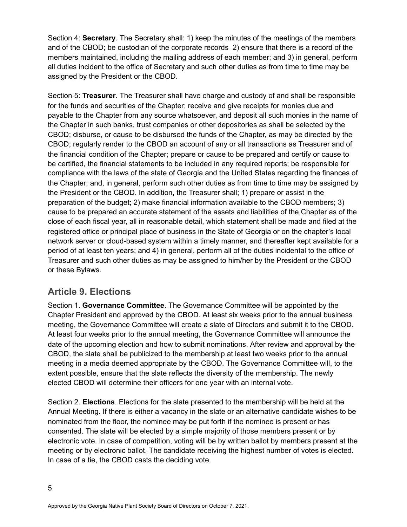Section 4: **Secretary**. The Secretary shall: 1) keep the minutes of the meetings of the members and of the CBOD; be custodian of the corporate records 2) ensure that there is a record of the members maintained, including the mailing address of each member; and 3) in general, perform all duties incident to the office of Secretary and such other duties as from time to time may be assigned by the President or the CBOD.

Section 5: **Treasurer**. The Treasurer shall have charge and custody of and shall be responsible for the funds and securities of the Chapter; receive and give receipts for monies due and payable to the Chapter from any source whatsoever, and deposit all such monies in the name of the Chapter in such banks, trust companies or other depositories as shall be selected by the CBOD; disburse, or cause to be disbursed the funds of the Chapter, as may be directed by the CBOD; regularly render to the CBOD an account of any or all transactions as Treasurer and of the financial condition of the Chapter; prepare or cause to be prepared and certify or cause to be certified, the financial statements to be included in any required reports; be responsible for compliance with the laws of the state of Georgia and the United States regarding the finances of the Chapter; and, in general, perform such other duties as from time to time may be assigned by the President or the CBOD. In addition, the Treasurer shall; 1) prepare or assist in the preparation of the budget; 2) make financial information available to the CBOD members; 3) cause to be prepared an accurate statement of the assets and liabilities of the Chapter as of the close of each fiscal year, all in reasonable detail, which statement shall be made and filed at the registered office or principal place of business in the State of Georgia or on the chapter's local network server or cloud-based system within a timely manner, and thereafter kept available for a period of at least ten years; and 4) in general, perform all of the duties incidental to the office of Treasurer and such other duties as may be assigned to him/her by the President or the CBOD or these Bylaws.

#### **Article 9. Elections**

Section 1. **Governance Committee**. The Governance Committee will be appointed by the Chapter President and approved by the CBOD. At least six weeks prior to the annual business meeting, the Governance Committee will create a slate of Directors and submit it to the CBOD. At least four weeks prior to the annual meeting, the Governance Committee will announce the date of the upcoming election and how to submit nominations. After review and approval by the CBOD, the slate shall be publicized to the membership at least two weeks prior to the annual meeting in a media deemed appropriate by the CBOD. The Governance Committee will, to the extent possible, ensure that the slate reflects the diversity of the membership. The newly elected CBOD will determine their officers for one year with an internal vote.

Section 2. **Elections**. Elections for the slate presented to the membership will be held at the Annual Meeting. If there is either a vacancy in the slate or an alternative candidate wishes to be nominated from the floor, the nominee may be put forth if the nominee is present or has consented. The slate will be elected by a simple majority of those members present or by electronic vote. In case of competition, voting will be by written ballot by members present at the meeting or by electronic ballot. The candidate receiving the highest number of votes is elected. In case of a tie, the CBOD casts the deciding vote.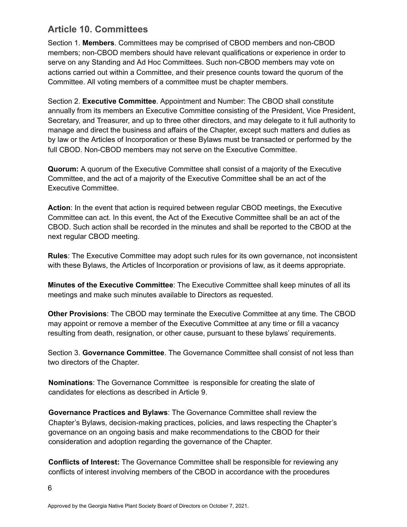#### **Article 10. Committees**

Section 1. **Members**. Committees may be comprised of CBOD members and non-CBOD members; non-CBOD members should have relevant qualifications or experience in order to serve on any Standing and Ad Hoc Committees. Such non-CBOD members may vote on actions carried out within a Committee, and their presence counts toward the quorum of the Committee. All voting members of a committee must be chapter members.

Section 2. **Executive Committee**. Appointment and Number: The CBOD shall constitute annually from its members an Executive Committee consisting of the President, Vice President, Secretary, and Treasurer, and up to three other directors, and may delegate to it full authority to manage and direct the business and affairs of the Chapter, except such matters and duties as by law or the Articles of Incorporation or these Bylaws must be transacted or performed by the full CBOD. Non-CBOD members may not serve on the Executive Committee.

**Quorum:** A quorum of the Executive Committee shall consist of a majority of the Executive Committee, and the act of a majority of the Executive Committee shall be an act of the Executive Committee.

**Action**: In the event that action is required between regular CBOD meetings, the Executive Committee can act. In this event, the Act of the Executive Committee shall be an act of the CBOD. Such action shall be recorded in the minutes and shall be reported to the CBOD at the next regular CBOD meeting.

**Rules**: The Executive Committee may adopt such rules for its own governance, not inconsistent with these Bylaws, the Articles of Incorporation or provisions of law, as it deems appropriate.

**Minutes of the Executive Committee**: The Executive Committee shall keep minutes of all its meetings and make such minutes available to Directors as requested.

**Other Provisions**: The CBOD may terminate the Executive Committee at any time. The CBOD may appoint or remove a member of the Executive Committee at any time or fill a vacancy resulting from death, resignation, or other cause, pursuant to these bylaws' requirements.

Section 3. **Governance Committee**. The Governance Committee shall consist of not less than two directors of the Chapter.

**Nominations**: The Governance Committee is responsible for creating the slate of candidates for elections as described in Article 9.

**Governance Practices and Bylaws**: The Governance Committee shall review the Chapter's Bylaws, decision-making practices, policies, and laws respecting the Chapter's governance on an ongoing basis and make recommendations to the CBOD for their consideration and adoption regarding the governance of the Chapter.

**Conflicts of Interest:** The Governance Committee shall be responsible for reviewing any conflicts of interest involving members of the CBOD in accordance with the procedures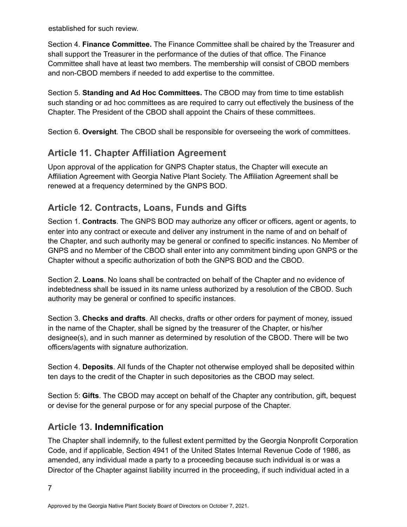established for such review.

Section 4. **Finance Committee.** The Finance Committee shall be chaired by the Treasurer and shall support the Treasurer in the performance of the duties of that office. The Finance Committee shall have at least two members. The membership will consist of CBOD members and non-CBOD members if needed to add expertise to the committee.

Section 5. **Standing and Ad Hoc Committees.** The CBOD may from time to time establish such standing or ad hoc committees as are required to carry out effectively the business of the Chapter. The President of the CBOD shall appoint the Chairs of these committees.

Section 6. **Oversight**. The CBOD shall be responsible for overseeing the work of committees.

# **Article 11. Chapter Affiliation Agreement**

Upon approval of the application for GNPS Chapter status, the Chapter will execute an Affiliation Agreement with Georgia Native Plant Society. The Affiliation Agreement shall be renewed at a frequency determined by the GNPS BOD.

# **Article 12. Contracts, Loans, Funds and Gifts**

Section 1. **Contracts**. The GNPS BOD may authorize any officer or officers, agent or agents, to enter into any contract or execute and deliver any instrument in the name of and on behalf of the Chapter, and such authority may be general or confined to specific instances. No Member of GNPS and no Member of the CBOD shall enter into any commitment binding upon GNPS or the Chapter without a specific authorization of both the GNPS BOD and the CBOD.

Section 2. **Loans**. No loans shall be contracted on behalf of the Chapter and no evidence of indebtedness shall be issued in its name unless authorized by a resolution of the CBOD. Such authority may be general or confined to specific instances.

Section 3. **Checks and drafts**. All checks, drafts or other orders for payment of money, issued in the name of the Chapter, shall be signed by the treasurer of the Chapter, or his/her designee(s), and in such manner as determined by resolution of the CBOD. There will be two officers/agents with signature authorization.

Section 4. **Deposits**. All funds of the Chapter not otherwise employed shall be deposited within ten days to the credit of the Chapter in such depositories as the CBOD may select.

Section 5: **Gifts**. The CBOD may accept on behalf of the Chapter any contribution, gift, bequest or devise for the general purpose or for any special purpose of the Chapter.

# **Article 13. Indemnification**

The Chapter shall indemnify, to the fullest extent permitted by the Georgia Nonprofit Corporation Code, and if applicable, Section 4941 of the United States Internal Revenue Code of 1986, as amended, any individual made a party to a proceeding because such individual is or was a Director of the Chapter against liability incurred in the proceeding, if such individual acted in a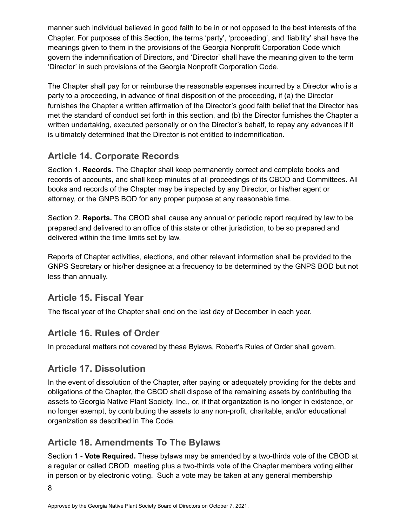manner such individual believed in good faith to be in or not opposed to the best interests of the Chapter. For purposes of this Section, the terms 'party', 'proceeding', and 'liability' shall have the meanings given to them in the provisions of the Georgia Nonprofit Corporation Code which govern the indemnification of Directors, and 'Director' shall have the meaning given to the term 'Director' in such provisions of the Georgia Nonprofit Corporation Code.

The Chapter shall pay for or reimburse the reasonable expenses incurred by a Director who is a party to a proceeding, in advance of final disposition of the proceeding, if (a) the Director furnishes the Chapter a written affirmation of the Director's good faith belief that the Director has met the standard of conduct set forth in this section, and (b) the Director furnishes the Chapter a written undertaking, executed personally or on the Director's behalf, to repay any advances if it is ultimately determined that the Director is not entitled to indemnification.

# **Article 14. Corporate Records**

Section 1. **Records**. The Chapter shall keep permanently correct and complete books and records of accounts, and shall keep minutes of all proceedings of its CBOD and Committees. All books and records of the Chapter may be inspected by any Director, or his/her agent or attorney, or the GNPS BOD for any proper purpose at any reasonable time.

Section 2. **Reports.** The CBOD shall cause any annual or periodic report required by law to be prepared and delivered to an office of this state or other jurisdiction, to be so prepared and delivered within the time limits set by law.

Reports of Chapter activities, elections, and other relevant information shall be provided to the GNPS Secretary or his/her designee at a frequency to be determined by the GNPS BOD but not less than annually.

# **Article 15. Fiscal Year**

The fiscal year of the Chapter shall end on the last day of December in each year.

# **Article 16. Rules of Order**

In procedural matters not covered by these Bylaws, Robert's Rules of Order shall govern.

# **Article 17. Dissolution**

In the event of dissolution of the Chapter, after paying or adequately providing for the debts and obligations of the Chapter, the CBOD shall dispose of the remaining assets by contributing the assets to Georgia Native Plant Society, Inc., or, if that organization is no longer in existence, or no longer exempt, by contributing the assets to any non-profit, charitable, and/or educational organization as described in The Code.

# **Article 18. Amendments To The Bylaws**

Section 1 - **Vote Required.** These bylaws may be amended by a two-thirds vote of the CBOD at a regular or called CBOD meeting plus a two-thirds vote of the Chapter members voting either in person or by electronic voting. Such a vote may be taken at any general membership